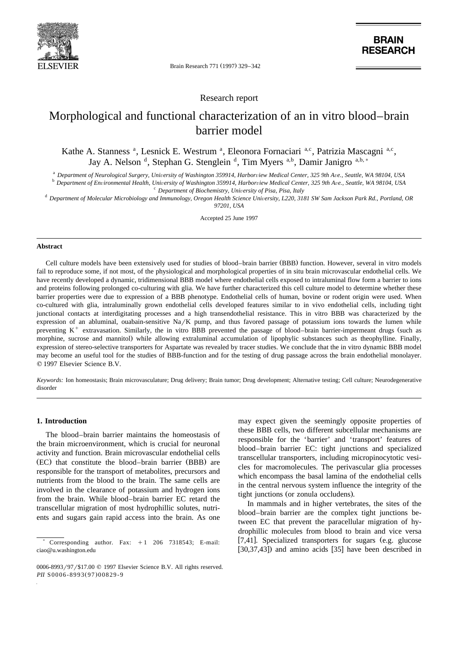

Brain Research 771 (1997) 329-342

Research report

# Morphological and functional characterization of an in vitro blood–brain barrier model

Kathe A. Stanness<sup>a</sup>, Lesnick E. Westrum<sup>a</sup>, Eleonora Fornaciari<sup>a,c</sup>, Patrizia Mascagni<sup>a,c</sup>, Jay A. Nelson<sup>d</sup>, Stephan G. Stenglein<sup>d</sup>, Tim Myers<sup>a,b</sup>, Damir Janigro<sup>a,b,\*</sup>

<sup>a</sup> Department of Neurological Surgery, University of Washington 359914, Harborview Medical Center, 325 9th Ave., Seattle, WA 98104, USA<br><sup>b</sup> Department of Environmental Health, University of Washington 359914, Harborview

*97201, USA*

Accepted 25 June 1997

## **Abstract**

Cell culture models have been extensively used for studies of blood–brain barrier (BBB) function. However, several in vitro models fail to reproduce some, if not most, of the physiological and morphological properties of in situ brain microvascular endothelial cells. We have recently developed a dynamic, tridimensional BBB model where endothelial cells exposed to intraluminal flow form a barrier to ions and proteins following prolonged co-culturing with glia. We have further characterized this cell culture model to determine whether these barrier properties were due to expression of a BBB phenotype. Endothelial cells of human, bovine or rodent origin were used. When co-cultured with glia, intraluminally grown endothelial cells developed features similar to in vivo endothelial cells, including tight junctional contacts at interdigitating processes and a high transendothelial resistance. This in vitro BBB was characterized by the expression of an abluminal, ouabain-sensitive  $Na/K$  pump, and thus favored passage of potassium ions towards the lumen while preventing  $K^+$  extravasation. Similarly, the in vitro BBB prevented the passage of blood–brain barrier-impermeant drugs (such as morphine, sucrose and mannitol) while allowing extraluminal accumulation of lipophylic substances such as theophylline. Finally, expression of stereo-selective transporters for Aspartate was revealed by tracer studies. We conclude that the in vitro dynamic BBB model may become an useful tool for the studies of BBB-function and for the testing of drug passage across the brain endothelial monolayer.  $Q$  1997 Elsevier Science B.V.

*Keywords:* Ion homeostasis; Brain microvasculature; Drug delivery; Brain tumor; Drug development; Alternative testing; Cell culture; Neurodegenerative disorder

# **1. Introduction**

The blood–brain barrier maintains the homeostasis of the brain microenvironment, which is crucial for neuronal activity and function. Brain microvascular endothelial cells (EC) that constitute the blood–brain barrier (BBB) are responsible for the transport of metabolites, precursors and nutrients from the blood to the brain. The same cells are involved in the clearance of potassium and hydrogen ions from the brain. While blood–brain barrier EC retard the transcellular migration of most hydrophillic solutes, nutrients and sugars gain rapid access into the brain. As one

may expect given the seemingly opposite properties of these BBB cells, two different subcellular mechanisms are responsible for the 'barrier' and 'transport' features of blood–brain barrier EC: tight junctions and specialized transcellular transporters, including micropinocytotic vesicles for macromolecules. The perivascular glia processes which encompass the basal lamina of the endothelial cells in the central nervous system influence the integrity of the tight junctions (or zonula occludens).

In mammals and in higher vertebrates, the sites of the blood–brain barrier are the complex tight junctions between EC that prevent the paracellular migration of hydrophillic molecules from blood to brain and vice versa [7,41]. Specialized transporters for sugars (e.g. glucose  $(30,37,43)$  and amino acids  $[35]$  have been described in

Corresponding author. Fax:  $+1$  206 7318543; E-mail: ciao@u.washington.edu

<sup>0006-8993/97/\$17.00</sup>  $\odot$  1997 Elsevier Science B.V. All rights reserved.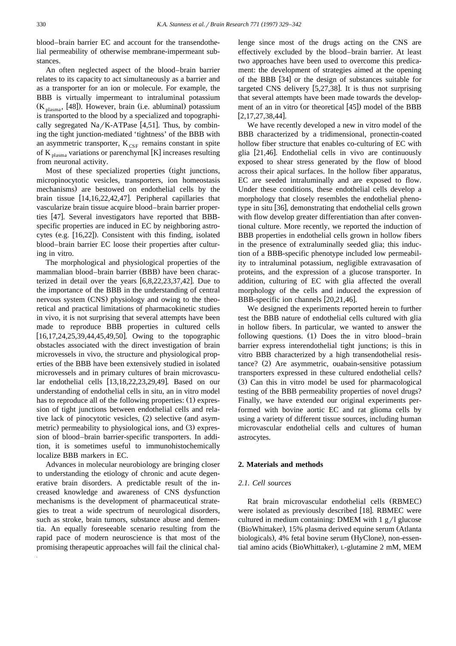blood–brain barrier EC and account for the transendothelial permeability of otherwise membrane-impermeant substances.

An often neglected aspect of the blood–brain barrier relates to its capacity to act simultaneously as a barrier and as a transporter for an ion or molecule. For example, the BBB is virtually impermeant to intraluminal potassium  $(K_{\text{plasma}}, [48])$ . However, brain (i.e. abluminal) potassium is transported to the blood by a specialized and topographically segregated  $\text{Na}/\text{K}-\text{ATPase}$  [4,51]. Thus, by combining the tight junction-mediated 'tightness' of the BBB with an asymmetric transporter,  $K_{CSF}$  remains constant in spite of  $K_{plasma}$  variations or parenchymal [K] increases resulting from neuronal activity.

Most of these specialized properties (tight junctions, micropinocytotic vesicles, transporters, ion homeostasis mechanisms) are bestowed on endothelial cells by the brain tissue  $[14,16,22,42,47]$ . Peripheral capillaries that vascularize brain tissue acquire blood–brain barrier properties [47]. Several investigators have reported that BBBspecific properties are induced in EC by neighboring astrocytes (e.g.  $[16,22]$ ). Consistent with this finding, isolated blood–brain barrier EC loose their properties after culturing in vitro.

The morphological and physiological properties of the mammalian blood–brain barrier (BBB) have been characterized in detail over the years  $[6,8,22,23,37,42]$ . Due to the importance of the BBB in the understanding of central nervous system (CNS) physiology and owing to the theoretical and practical limitations of pharmacokinetic studies in vivo, it is not surprising that several attempts have been made to reproduce BBB properties in cultured cells  $[16, 17, 24, 25, 39, 44, 45, 49, 50]$ . Owing to the topographic obstacles associated with the direct investigation of brain microvessels in vivo, the structure and physiological properties of the BBB have been extensively studied in isolated microvessels and in primary cultures of brain microvascular endothelial cells  $[13,18,22,23,29,49]$ . Based on our understanding of endothelial cells in situ, an in vitro model has to reproduce all of the following properties: (1) expression of tight junctions between endothelial cells and relative lack of pinocytotic vesicles, (2) selective (and asymmetric) permeability to physiological ions, and (3) expression of blood–brain barrier-specific transporters. In addition, it is sometimes useful to immunohistochemically localize BBB markers in EC.

Advances in molecular neurobiology are bringing closer to understanding the etiology of chronic and acute degenerative brain disorders. A predictable result of the increased knowledge and awareness of CNS dysfunction mechanisms is the development of pharmaceutical strategies to treat a wide spectrum of neurological disorders, such as stroke, brain tumors, substance abuse and dementia. An equally foreseeable scenario resulting from the rapid pace of modern neuroscience is that most of the promising therapeutic approaches will fail the clinical challenge since most of the drugs acting on the CNS are effectively excluded by the blood–brain barrier. At least two approaches have been used to overcome this predicament: the development of strategies aimed at the opening of the BBB [34] or the design of substances suitable for targeted CNS delivery  $[5,27,38]$ . It is thus not surprising that several attempts have been made towards the development of an in vitro (or theoretical  $[45]$ ) model of the BBB  $[2,17,27,38,44]$ .

We have recently developed a new in vitro model of the BBB characterized by a tridimensional, pronectin-coated hollow fiber structure that enables co-culturing of EC with glia  $[21,46]$ . Endothelial cells in vivo are continuously exposed to shear stress generated by the flow of blood across their apical surfaces. In the hollow fiber apparatus, EC are seeded intraluminally and are exposed to flow. Under these conditions, these endothelial cells develop a morphology that closely resembles the endothelial phenotype in situ [36], demonstrating that endothelial cells grown with flow develop greater differentiation than after conventional culture. More recently, we reported the induction of BBB properties in endothelial cells grown in hollow fibers in the presence of extraluminally seeded glia; this induction of a BBB-specific phenotype included low permeability to intraluminal potassium, negligible extravasation of proteins, and the expression of a glucose transporter. In addition, culturing of EC with glia affected the overall morphology of the cells and induced the expression of BBB-specific ion channels  $[20,21,46]$ .

We designed the experiments reported herein to further test the BBB nature of endothelial cells cultured with glia in hollow fibers. In particular, we wanted to answer the following questions.  $(1)$  Does the in vitro blood–brain barrier express interendothelial tight junctions; is this in vitro BBB characterized by a high transendothelial resistance? (2) Are asymmetric, ouabain-sensitive potassium transporters expressed in these cultured endothelial cells? (3) Can this in vitro model be used for pharmacological testing of the BBB permeability properties of novel drugs? Finally, we have extended our original experiments performed with bovine aortic EC and rat glioma cells by using a variety of different tissue sources, including human microvascular endothelial cells and cultures of human astrocytes.

## **2. Materials and methods**

# *2.1. Cell sources*

Rat brain microvascular endothelial cells (RBMEC) were isolated as previously described [18]. RBMEC were cultured in medium containing: DMEM with  $1 \frac{g}{l}$  glucose (BioWhittaker), 15% plasma derived equine serum (Atlanta biologicals), 4% fetal bovine serum (HyClone), non-essential amino acids (BioWhittaker), L-glutamine 2 mM, MEM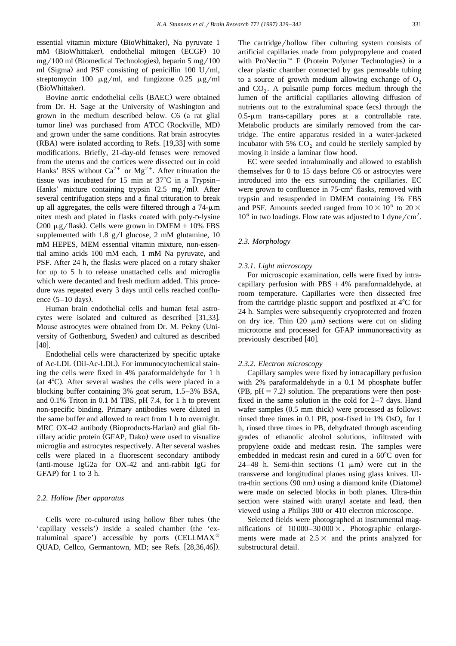essential vitamin mixture (BioWhittaker), Na pyruvate 1 mM (BioWhittaker), endothelial mitogen (ECGF) 10  $mg/100$  ml (Biomedical Technologies), heparin 5 mg/100 ml (Sigma) and PSF consisting of penicillin 100 U/ml, streptomycin 100  $\mu$ g/ml, and fungizone 0.25  $\mu$ g/ml (BioWhittaker).

Bovine aortic endothelial cells (BAEC) were obtained from Dr. H. Sage at the University of Washington and grown in the medium described below. C6 (a rat glial tumor line) was purchased from ATCC (Rockville, MD) and grown under the same conditions. Rat brain astrocytes  $(RBA)$  were isolated according to Refs. [19,33] with some modifications. Briefly, 21-day-old fetuses were removed from the uterus and the cortices were dissected out in cold Hanks' BSS without  $Ca^{2+}$  or Mg<sup>2+</sup>. After trituration the tissue was incubated for 15 min at  $37^{\circ}$ C in a Trypsin– Hanks' mixture containing trypsin  $(2.5 \text{ mg/ml})$ . After several centrifugation steps and a final trituration to break up all aggregates, the cells were filtered through a  $74-\mu m$ nitex mesh and plated in flasks coated with poly-D-lysine (200  $\mu$ g/flask). Cells were grown in DMEM + 10% FBS supplemented with 1.8  $g/l$  glucose, 2 mM glutamine, 10 mM HEPES, MEM essential vitamin mixture, non-essential amino acids 100 mM each, 1 mM Na pyruvate, and PSF. After 24 h, the flasks were placed on a rotary shaker for up to 5 h to release unattached cells and microglia which were decanted and fresh medium added. This procedure was repeated every 3 days until cells reached confluence  $(5-10 \text{ days})$ .

Human brain endothelial cells and human fetal astrocytes were isolated and cultured as described  $[31,33]$ . Mouse astrocytes were obtained from Dr. M. Pekny (University of Gothenburg, Sweden) and cultured as described  $[40]$ .

Endothelial cells were characterized by specific uptake of Ac-LDL (DiI-Ac-LDL). For immunocytochemical staining the cells were fixed in 4% paraformaldehyde for 1 h (at  $4^{\circ}$ C). After several washes the cells were placed in a blocking buffer containing 3% goat serum, 1.5–3% BSA, and 0.1% Triton in 0.1 M TBS, pH 7.4, for 1 h to prevent non-specific binding. Primary antibodies were diluted in the same buffer and allowed to react from 1 h to overnight. MRC OX-42 antibody (Bioproducts-Harlan) and glial fibrillary acidic protein (GFAP, Dako) were used to visualize microglia and astrocytes respectively. After several washes cells were placed in a fluorescent secondary antibody  $(anti-mouse IgG2a for OX-42 and anti-rabbit IgG for$  $GFAP$ ) for 1 to 3 h.

#### *2.2. Hollow fiber apparatus*

Cells were co-cultured using hollow fiber tubes (the 'capillary vessels') inside a sealed chamber (the 'extraluminal space') accessible by ports  $(CELLMAX^{\circ\circ})$ QUAD, Cellco, Germantown, MD; see Refs. [28,36,46]). The cartridge/hollow fiber culturing system consists of artificial capillaries made from polypropylene and coated with ProNectin<sup>™</sup> F (Protein Polymer Technologies) in a clear plastic chamber connected by gas permeable tubing to a source of growth medium allowing exchange of  $O<sub>2</sub>$ and  $CO<sub>2</sub>$ . A pulsatile pump forces medium through the lumen of the artificial capillaries allowing diffusion of nutrients out to the extraluminal space (ecs) through the  $0.5-\mu m$  trans-capillary pores at a controllable rate. Metabolic products are similarly removed from the cartridge. The entire apparatus resided in a water-jacketed incubator with 5%  $CO<sub>2</sub>$  and could be sterilely sampled by moving it inside a laminar flow hood.

EC were seeded intraluminally and allowed to establish themselves for 0 to 15 days before C6 or astrocytes were introduced into the ecs surrounding the capillaries. EC were grown to confluence in  $75$ -cm<sup>2</sup> flasks, removed with trypsin and resuspended in DMEM containing 1% FBS and PSF. Amounts seeded ranged from  $10\times10^6$  to  $20\times$  $10^6$  in two loadings. Flow rate was adjusted to 1 dyne/cm<sup>2</sup>.

# *2.3. Morphology*

## *2.3.1. Light microscopy*

For microscopic examination, cells were fixed by intracapillary perfusion with  $PBS + 4%$  paraformaldehyde, at room temperature. Capillaries were then dissected free from the cartridge plastic support and postfixed at  $4^{\circ}C$  for 24 h. Samples were subsequently cryoprotected and frozen on dry ice. Thin  $(20 \mu m)$  sections were cut on sliding microtome and processed for GFAP immunoreactivity as previously described [40].

## *2.3.2. Electron microscopy*

Capillary samples were fixed by intracapillary perfusion with 2% paraformaldehyde in a 0.1 M phosphate buffer  $(PB, pH = 7.2)$  solution. The preparations were then postfixed in the same solution in the cold for 2–7 days. Hand wafer samples  $(0.5 \text{ mm thick})$  were processed as follows: rinsed three times in 0.1 PB, post-fixed in  $1\%$  OsO<sub>4</sub> for 1 h, rinsed three times in PB, dehydrated through ascending grades of ethanolic alcohol solutions, infiltrated with propylene oxide and medcast resin. The samples were embedded in medcast resin and cured in a  $60^{\circ}$ C oven for 24–48 h. Semi-thin sections  $(1 \mu m)$  were cut in the transverse and longitudinal planes using glass knives. Ultra-thin sections (90 nm) using a diamond knife (Diatome) were made on selected blocks in both planes. Ultra-thin section were stained with uranyl acetate and lead, then viewed using a Philips 300 or 410 electron microscope.

Selected fields were photographed at instrumental magnifications of  $10000-30000\times$ . Photographic enlargements were made at  $2.5\times$  and the prints analyzed for substructural detail.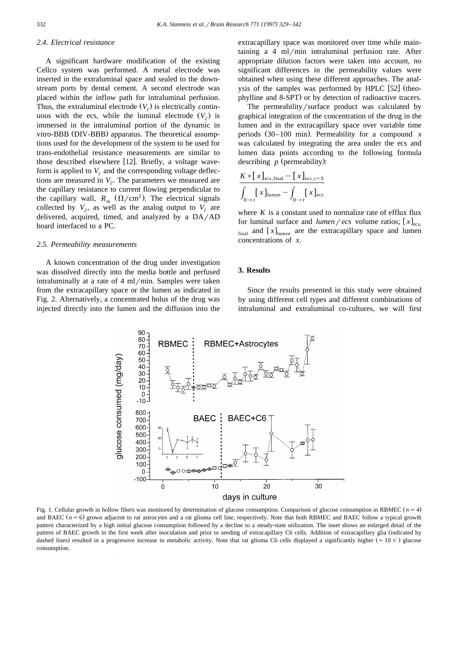# *2.4. Electrical resistance*

A significant hardware modification of the existing Cellco system was performed. A metal electrode was inserted in the extraluminal space and sealed to the downstream ports by dental cement. A second electrode was placed within the inflow path for intraluminal perfusion. Thus, the extraluminal electrode  $(V<sub>1</sub>)$  is electrically continuous with the ecs, while the luminal electrode  $(V_2)$  is immersed in the intraluminal portion of the dynamic in vitro-BBB (DIV-BBB) apparatus. The theoretical assumptions used for the development of the system to be used for trans-endothelial resistance measurements are similar to those described elsewhere [12]. Briefly, a voltage waveform is applied to  $V<sub>1</sub>$  and the corresponding voltage deflections are measured in  $V<sub>2</sub>$ . The parameters we measured are the capillary resistance to current flowing perpendicular to the capillary wall,  $R_m$  ( $\Omega/cm^2$ ). The electrical signals collected by  $V_2$ , as well as the analog output to  $V_1$  are delivered, acquired, timed, and analyzed by a  $DA/AD$ board interfaced to a PC.

## *2.5. Permeability measurements*

A known concentration of the drug under investigation was dissolved directly into the media bottle and perfused intraluminally at a rate of  $4 \text{ ml/min}$ . Samples were taken from the extracapillary space or the lumen as indicated in Fig. 2. Alternatively, a concentrated bolus of the drug was injected directly into the lumen and the diffusion into the

extracapillary space was monitored over time while maintaining a 4 ml/min intraluminal perfusion rate. After appropriate dilution factors were taken into account, no significant differences in the permeability values were obtained when using these different approaches. The analysis of the samples was performed by HPLC  $[52]$  (theophylline and 8-SPT) or by detection of radioactive tracers.

The permeability/surface product was calculated by graphical integration of the concentration of the drug in the lumen and in the extracapillary space over variable time periods  $(30-100 \text{ min})$ . Permeability for a compound x was calculated by integrating the area under the ecs and lumen data points according to the following formula describing  $p$  (permeability):

$$
\frac{K * [x]_{\text{ecs,final}} - [x]_{\text{ecs},t=0}}{\int_{0 \to t} [x]_{\text{lumen}} - \int_{0 \to t} [x]_{\text{ecs}}}
$$

where  $K$  is a constant used to normalize rate of efflux flux for luminal surface and *lumen* / ecs volume ratios;  $[x]_{\text{ecs}}$  $_{final}$  and  $[x]_{lumen}$  are the extracapillary space and lumen concentrations of *x*.

## **3. Results**

Since the results presented in this study were obtained by using different cell types and different combinations of intraluminal and extraluminal co-cultures, we will first



Fig. 1. Cellular growth in hollow fibers was monitored by determination of glucose consumption. Comparison of glucose consumption in RBMEC  $(n = 4)$ and BAEC  $(n = 6)$  grown adjacent to rat astrocytes and a rat glioma cell line, respectively. Note that both RBMEC and BAEC follow a typical growth pattern characterized by a high initial glucose consumption followed by a decline to a steady-state utilization. The inset shows an enlarged detail of the pattern of BAEC growth in the first week after inoculation and prior to seeding of extracapillary C6 cells. Addition of extracapillary glia (indicated by dashed lines) resulted in a progressive increase in metabolic activity. Note that rat glioma C6 cells displayed a significantly higher  $(\sim 10 \times)$  glucose consumption.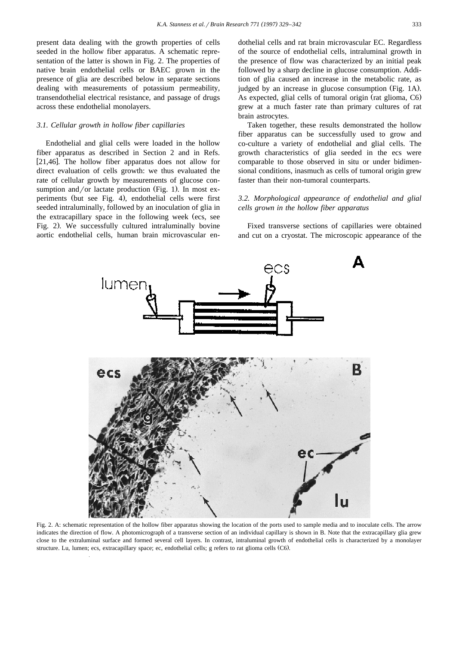present data dealing with the growth properties of cells seeded in the hollow fiber apparatus. A schematic representation of the latter is shown in Fig. 2. The properties of native brain endothelial cells or BAEC grown in the presence of glia are described below in separate sections dealing with measurements of potassium permeability, transendothelial electrical resistance, and passage of drugs across these endothelial monolayers.

## *3.1. Cellular growth in hollow fiber capillaries*

Endothelial and glial cells were loaded in the hollow fiber apparatus as described in Section 2 and in Refs.  $[21,46]$ . The hollow fiber apparatus does not allow for direct evaluation of cells growth: we thus evaluated the rate of cellular growth by measurements of glucose consumption and/or lactate production (Fig. 1). In most experiments (but see Fig. 4), endothelial cells were first seeded intraluminally, followed by an inoculation of glia in the extracapillary space in the following week (ecs, see Fig. 2). We successfully cultured intraluminally bovine aortic endothelial cells, human brain microvascular en-

dothelial cells and rat brain microvascular EC. Regardless of the source of endothelial cells, intraluminal growth in the presence of flow was characterized by an initial peak followed by a sharp decline in glucose consumption. Addition of glia caused an increase in the metabolic rate, as judged by an increase in glucose consumption (Fig. 1A). As expected, glial cells of tumoral origin (rat glioma, C6) grew at a much faster rate than primary cultures of rat brain astrocytes.

Taken together, these results demonstrated the hollow fiber apparatus can be successfully used to grow and co-culture a variety of endothelial and glial cells. The growth characteristics of glia seeded in the ecs were comparable to those observed in situ or under bidimensional conditions, inasmuch as cells of tumoral origin grew faster than their non-tumoral counterparts.

# *3.2. Morphological appearance of endothelial and glial cells grown in the hollow fiber apparatus*

Fixed transverse sections of capillaries were obtained and cut on a cryostat. The microscopic appearance of the



Fig. 2. A: schematic representation of the hollow fiber apparatus showing the location of the ports used to sample media and to inoculate cells. The arrow indicates the direction of flow. A photomicrograph of a transverse section of an individual capillary is shown in B. Note that the extracapillary glia grew close to the extraluminal surface and formed several cell layers. In contrast, intraluminal growth of endothelial cells is characterized by a monolayer structure. Lu, lumen; ecs, extracapillary space; ec, endothelial cells; g refers to rat glioma cells (C6).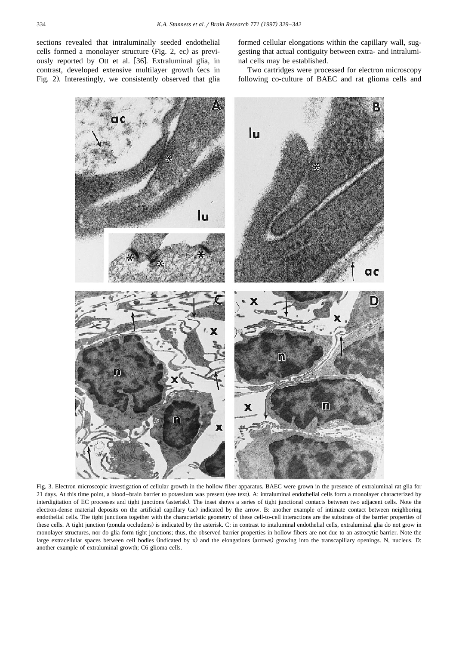sections revealed that intraluminally seeded endothelial cells formed a monolayer structure (Fig. 2, ec) as previously reported by Ott et al. [36]. Extraluminal glia, in contrast, developed extensive multilayer growth (ecs in Fig. 2). Interestingly, we consistently observed that glia

formed cellular elongations within the capillary wall, suggesting that actual contiguity between extra- and intraluminal cells may be established.

Two cartridges were processed for electron microscopy following co-culture of BAEC and rat glioma cells and



Fig. 3. Electron microscopic investigation of cellular growth in the hollow fiber apparatus. BAEC were grown in the presence of extraluminal rat glia for 21 days. At this time point, a blood–brain barrier to potassium was present (see text). A: intraluminal endothelial cells form a monolayer characterized by interdigitation of EC processes and tight junctions (asterisk). The inset shows a series of tight junctional contacts between two adjacent cells. Note the electron-dense material deposits on the artificial capillary (ac) indicated by the arrow. B: another example of intimate contact between neighboring endothelial cells. The tight junctions together with the characteristic geometry of these cell-to-cell interactions are the substrate of the barrier properties of these cells. A tight junction (zonula occludens) is indicated by the asterisk. C: in contrast to intaluminal endothelial cells, extraluminal glia do not grow in monolayer structures, nor do glia form tight junctions; thus, the observed barrier properties in hollow fibers are not due to an astrocytic barrier. Note the large extracellular spaces between cell bodies (indicated by x) and the elongations (arrows) growing into the transcapillary openings. N, nucleus. D: another example of extraluminal growth; C6 glioma cells.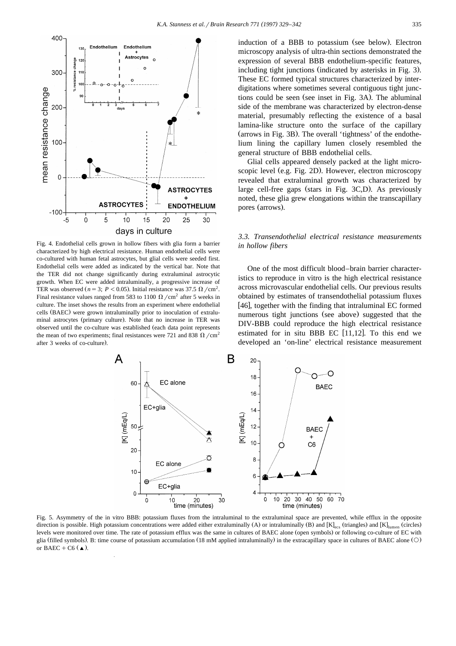

Fig. 4. Endothelial cells grown in hollow fibers with glia form a barrier characterized by high electrical resistance. Human endothelial cells were co-cultured with human fetal astrocytes, but glial cells were seeded first. Endothelial cells were added as indicated by the vertical bar. Note that the TER did not change significantly during extraluminal astrocytic growth. When EC were added intraluminally, a progressive increase of TER was observed  $(n=3; P < 0.05)$ . Initial resistance was 37.5  $\Omega$ /cm<sup>2</sup>. Final resistance values ranged from 583 to 1100  $\Omega$  /cm<sup>2</sup> after 5 weeks in culture. The inset shows the results from an experiment where endothelial cells (BAEC) were grown intraluminally prior to inoculation of extraluminal astrocytes (primary culture). Note that no increase in TER was observed until the co-culture was established (each data point represents the mean of two experiments; final resistances were 721 and 838  $\Omega$  /cm<sup>2</sup> after 3 weeks of co-culture).

induction of a BBB to potassium (see below). Electron microscopy analysis of ultra-thin sections demonstrated the expression of several BBB endothelium-specific features, including tight junctions (indicated by asterisks in Fig. 3). These EC formed typical structures characterized by interdigitations where sometimes several contiguous tight junctions could be seen (see inset in Fig. 3A). The abluminal side of the membrane was characterized by electron-dense material, presumably reflecting the existence of a basal lamina-like structure onto the surface of the capillary (arrows in Fig. 3B). The overall 'tightness' of the endothelium lining the capillary lumen closely resembled the general structure of BBB endothelial cells.

Glial cells appeared densely packed at the light microscopic level (e.g. Fig. 2D). However, electron microscopy revealed that extraluminal growth was characterized by large cell-free gaps (stars in Fig.  $3C,D$ ). As previously noted, these glia grew elongations within the transcapillary pores (arrows).

# *3.3. Transendothelial electrical resistance measurements in hollow fibers*

One of the most difficult blood–brain barrier characteristics to reproduce in vitro is the high electrical resistance across microvascular endothelial cells. Our previous results obtained by estimates of transendothelial potassium fluxes [46], together with the finding that intraluminal EC formed numerous tight junctions (see above) suggested that the DIV-BBB could reproduce the high electrical resistance estimated for in situ BBB EC  $[11,12]$ . To this end we developed an 'on-line' electrical resistance measurement



Fig. 5. Asymmetry of the in vitro BBB: potassium fluxes from the intraluminal to the extraluminal space are prevented, while efflux in the opposite direction is possible. High potassium concentrations were added either extraluminally (A) or intraluminally (B) and  $[K]_{\text{csc}}$  (triangles) and  $[K]_{\text{lumen}}$  (circles) levels were monitored over time. The rate of potassium efflux was the same in cultures of BAEC alone (open symbols) or following co-culture of EC with glia (filled symbols). B: time course of potassium accumulation  $(18 \text{ mM applied intraluminally})$  in the extracapillary space in cultures of BAEC alone  $(\circ)$ or BAEC + C6  $(\triangle)$ .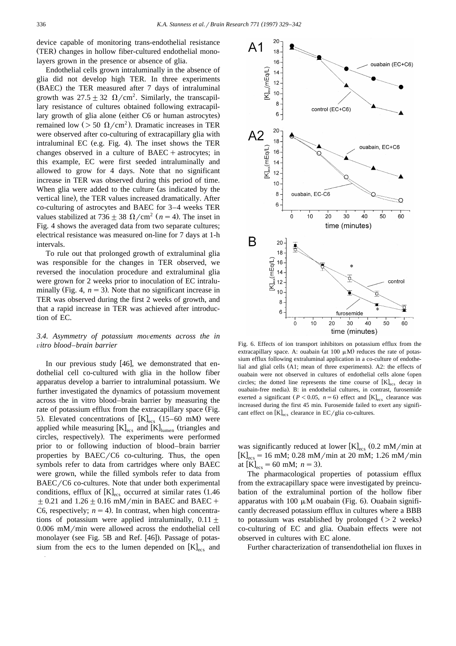device capable of monitoring trans-endothelial resistance (TER) changes in hollow fiber-cultured endothelial monolayers grown in the presence or absence of glia.

Endothelial cells grown intraluminally in the absence of glia did not develop high TER. In three experiments (BAEC) the TER measured after 7 days of intraluminal growth was  $27.5 \pm 32$   $\Omega/cm^2$ . Similarly, the transcapillary resistance of cultures obtained following extracapillary growth of glia alone (either C6 or human astrocytes) remained low ( $> 50 \Omega/cm<sup>2</sup>$ ). Dramatic increases in TER were observed after co-culturing of extracapillary glia with intraluminal EC (e.g. Fig. 4). The inset shows the TER changes observed in a culture of  $BAEC +$  astrocytes; in this example, EC were first seeded intraluminally and allowed to grow for 4 days. Note that no significant increase in TER was observed during this period of time. When glia were added to the culture (as indicated by the vertical line), the TER values increased dramatically. After co-culturing of astrocytes and BAEC for 3–4 weeks TER values stabilized at 736  $\pm$  38  $\Omega$ /cm<sup>2</sup> (*n* = 4). The inset in Fig. 4 shows the averaged data from two separate cultures; electrical resistance was measured on-line for 7 days at 1-h intervals.

To rule out that prolonged growth of extraluminal glia was responsible for the changes in TER observed, we reversed the inoculation procedure and extraluminal glia were grown for 2 weeks prior to inoculation of EC intraluminally (Fig. 4,  $n = 3$ ). Note that no significant increase in TER was observed during the first 2 weeks of growth, and that a rapid increase in TER was achieved after introduction of EC.

# 3.4. Asymmetry of potassium movements across the in Õ*itro blood–brain barrier*

In our previous study  $[46]$ , we demonstrated that endothelial cell co-cultured with glia in the hollow fiber apparatus develop a barrier to intraluminal potassium. We further investigated the dynamics of potassium movement across the in vitro blood–brain barrier by measuring the rate of potassium efflux from the extracapillary space (Fig. 5). Elevated concentrations of  $[K]_{\text{ecs}}$  (15–60 mM) were applied while measuring  $[K]_{\text{ecs}}$  and  $[K]_{\text{lumen}}$  (triangles and circles, respectively). The experiments were performed prior to or following induction of blood–brain barrier properties by  $BAEC/C6$  co-culturing. Thus, the open symbols refer to data from cartridges where only BAEC were grown, while the filled symbols refer to data from BAEC/C6 co-cultures. Note that under both experimental conditions, efflux of  $[K]_{\text{ecs}}$  occurred at similar rates (1.46  $\pm$  0.21 and 1.26  $\pm$  0.16 mM/min in BAEC and BAEC + C6, respectively;  $n = 4$ ). In contrast, when high concentrations of potassium were applied intraluminally,  $0.11 \pm$  $0.006$  mM/min were allowed across the endothelial cell monolayer (see Fig. 5B and Ref. [46]). Passage of potassium from the ecs to the lumen depended on  $[K]_{\text{esc}}$  and



Fig. 6. Effects of ion transport inhibitors on potassium efflux from the extracapillary space. A: ouabain (at 100  $\mu$ M) reduces the rate of potassium efflux following extraluminal application in a co-culture of endothelial and glial cells  $(A1; \text{ mean of three experiments})$ . A2: the effects of ouabain were not observed in cultures of endothelial cells alone (open circles; the dotted line represents the time course of  $[K]_{\rm esc}$  decay in ouabain-free media). B: in endothelial cultures, in contrast, furosemide exerted a significant ( $P < 0.05$ ,  $n = 6$ ) effect and [K]<sub>ecs</sub> clearance was increased during the first 45 min. Furosemide failed to exert any significant effect on  $[K]_{\text{ecs}}$  clearance in EC/glia co-cultures.

was significantly reduced at lower  $[K]_{\text{ecs}}$  (0.2 mM/min at  $[K]_{\text{ecs}} = 16 \text{ mM}; 0.28 \text{ mM/min at 20 mM}; 1.26 \text{ mM/min}$ at  $[K]_{\text{ecs}} = 60 \text{ mM}; n = 3$ .

The pharmacological properties of potassium efflux from the extracapillary space were investigated by preincubation of the extraluminal portion of the hollow fiber apparatus with 100  $\mu$ M ouabain (Fig. 6). Ouabain significantly decreased potassium efflux in cultures where a BBB to potassium was established by prolonged  $($  > 2 weeks) co-culturing of EC and glia. Ouabain effects were not observed in cultures with EC alone.

Further characterization of transendothelial ion fluxes in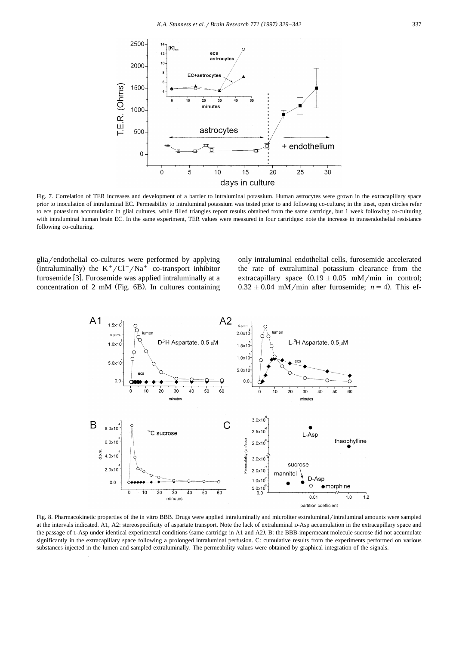



Fig. 7. Correlation of TER increases and development of a barrier to intraluminal potassium. Human astrocytes were grown in the extracapillary space prior to inoculation of intraluminal EC. Permeability to intraluminal potassium was tested prior to and following co-culture; in the inset, open circles refer to ecs potassium accumulation in glial cultures, while filled triangles report results obtained from the same cartridge, but 1 week following co-culturing with intraluminal human brain EC. In the same experiment, TER values were measured in four cartridges: note the increase in transendothelial resistance following co-culturing.

glia/endothelial co-cultures were performed by applying (intraluminally) the  $K^+/Cl^-/Na^+$  co-transport inhibitor furosemide [3]. Furosemide was applied intraluminally at a concentration of 2 mM (Fig.  $6B$ ). In cultures containing

only intraluminal endothelial cells, furosemide accelerated the rate of extraluminal potassium clearance from the extracapillary space  $(0.19 \pm 0.05 \text{ mM/min}$  in control;  $0.32 \pm 0.04$  mM/min after furosemide;  $n = 4$ . This ef-



Fig. 8. Pharmacokinetic properties of the in vitro BBB. Drugs were applied intraluminally and microliter extraluminal/intraluminal amounts were sampled at the intervals indicated. A1, A2: stereospecificity of aspartate transport. Note the lack of extraluminal D-Asp accumulation in the extracapillary space and the passage of L-Asp under identical experimental conditions (same cartridge in A1 and A2). B: the BBB-impermeant molecule sucrose did not accumulate significantly in the extracapillary space following a prolonged intraluminal perfusion. C: cumulative results from the experiments performed on various substances injected in the lumen and sampled extraluminally. The permeability values were obtained by graphical integration of the signals.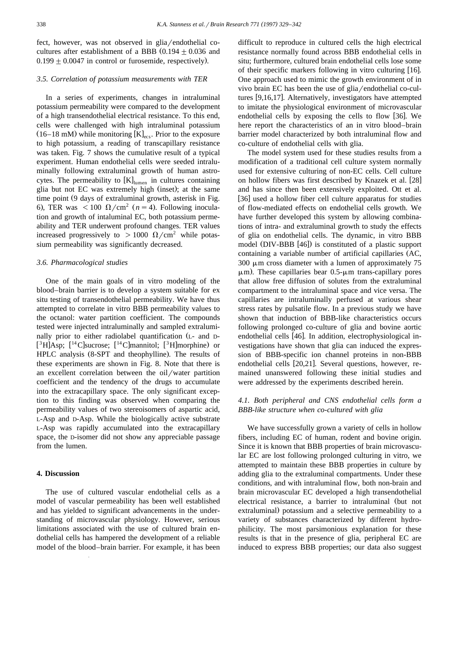fect, however, was not observed in glia/endothelial cocultures after establishment of a BBB  $(0.194 \pm 0.036$  and  $0.199 \pm 0.0047$  in control or furosemide, respectively).

## *3.5. Correlation of potassium measurements with TER*

In a series of experiments, changes in intraluminal potassium permeability were compared to the development of a high transendothelial electrical resistance. To this end, cells were challenged with high intraluminal potassium  $(16–18 \text{ mM})$  while monitoring  $[K]_{\text{ecs}}$ . Prior to the exposure to high potassium, a reading of transcapillary resistance was taken. Fig. 7 shows the cumulative result of a typical experiment. Human endothelial cells were seeded intraluminally following extraluminal growth of human astrocytes. The permeability to  $[K]_{\text{lumen}}$  in cultures containing glia but not EC was extremely high (inset); at the same time point (9 days of extraluminal growth, asterisk in Fig. 6), TER was  $\langle 100 \Omega / \text{cm}^2 (n=4)$ . Following inoculation and growth of intaluminal EC, both potassium permeability and TER underwent profound changes. TER values increased progressively to  $> 1000 \Omega/cm^2$  while potassium permeability was significantly decreased.

## *3.6. Pharmacological studies*

One of the main goals of in vitro modeling of the blood–brain barrier is to develop a system suitable for ex situ testing of transendothelial permeability. We have thus attempted to correlate in vitro BBB permeability values to the octanol: water partition coefficient. The compounds tested were injected intraluminally and sampled extraluminally prior to either radiolabel quantification (L- and D- $[3H]$ Asp;  $[14C]$ sucrose;  $[14C]$ mannitol;  $[3H]$ morphine) or HPLC analysis (8-SPT and theophylline). The results of these experiments are shown in Fig. 8. Note that there is an excellent correlation between the oil/water partition coefficient and the tendency of the drugs to accumulate into the extracapillary space. The only significant exception to this finding was observed when comparing the permeability values of two stereoisomers of aspartic acid, L-Asp and D-Asp. While the biologically active substrate L-Asp was rapidly accumulated into the extracapillary space, the D-isomer did not show any appreciable passage from the lumen.

## **4. Discussion**

The use of cultured vascular endothelial cells as a model of vascular permeability has been well established and has yielded to significant advancements in the understanding of microvascular physiology. However, serious limitations associated with the use of cultured brain endothelial cells has hampered the development of a reliable model of the blood–brain barrier. For example, it has been

difficult to reproduce in cultured cells the high electrical resistance normally found across BBB endothelial cells in situ; furthermore, cultured brain endothelial cells lose some of their specific markers following in vitro culturing  $[16]$ . One approach used to mimic the growth environment of in vivo brain EC has been the use of glia/endothelial co-cultures  $[9,16,17]$ . Alternatively, investigators have attempted to imitate the physiological environment of microvascular endothelial cells by exposing the cells to flow [36]. We here report the characteristics of an in vitro blood–brain barrier model characterized by both intraluminal flow and co-culture of endothelial cells with glia.

The model system used for these studies results from a modification of a traditional cell culture system normally used for extensive culturing of non-EC cells. Cell culture on hollow fibers was first described by Knazek et al. [28] and has since then been extensively exploited. Ott et al. [36] used a hollow fiber cell culture apparatus for studies of flow-mediated effects on endothelial cells growth. We have further developed this system by allowing combinations of intra- and extraluminal growth to study the effects of glia on endothelial cells. The dynamic, in vitro BBB model (DIV-BBB [46]) is constituted of a plastic support containing a variable number of artificial capillaries (AC, 300  $\mu$ m cross diameter with a lumen of approximately 75  $\mu$ m). These capillaries bear 0.5- $\mu$ m trans-capillary pores that allow free diffusion of solutes from the extraluminal compartment to the intraluminal space and vice versa. The capillaries are intraluminally perfused at various shear stress rates by pulsatile flow. In a previous study we have shown that induction of BBB-like characteristics occurs following prolonged co-culture of glia and bovine aortic endothelial cells [46]. In addition, electrophysiological investigations have shown that glia can induced the expression of BBB-specific ion channel proteins in non-BBB endothelial cells  $[20,21]$ . Several questions, however, remained unanswered following these initial studies and were addressed by the experiments described herein.

# *4.1. Both peripheral and CNS endothelial cells form a BBB-like structure when co-cultured with glia*

We have successfully grown a variety of cells in hollow fibers, including EC of human, rodent and bovine origin. Since it is known that BBB properties of brain microvascular EC are lost following prolonged culturing in vitro, we attempted to maintain these BBB properties in culture by adding glia to the extraluminal compartments. Under these conditions, and with intraluminal flow, both non-brain and brain microvascular EC developed a high transendothelial electrical resistance, a barrier to intraluminal (but not extraluminal) potassium and a selective permeability to a variety of substances characterized by different hydrophilicity. The most parsimonious explanation for these results is that in the presence of glia, peripheral EC are induced to express BBB properties; our data also suggest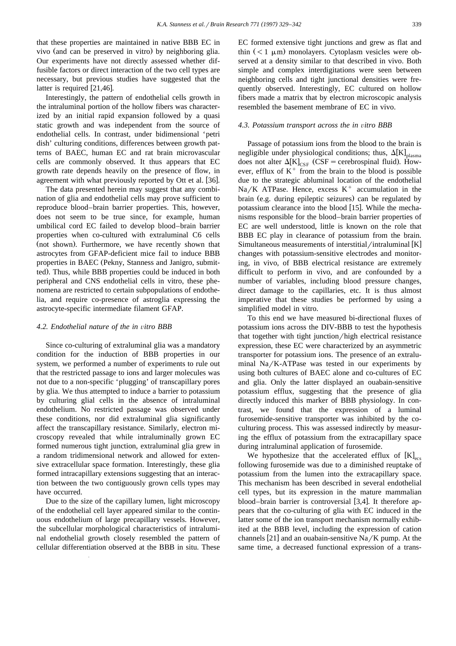that these properties are maintained in native BBB EC in vivo (and can be preserved in vitro) by neighboring glia. Our experiments have not directly assessed whether diffusible factors or direct interaction of the two cell types are necessary, but previous studies have suggested that the latter is required  $[21,46]$ .

Interestingly, the pattern of endothelial cells growth in the intraluminal portion of the hollow fibers was characterized by an initial rapid expansion followed by a quasi static growth and was independent from the source of endothelial cells. In contrast, under bidimensional 'petri dish' culturing conditions, differences between growth patterns of BAEC, human EC and rat brain microvascular cells are commonly observed. It thus appears that EC growth rate depends heavily on the presence of flow, in agreement with what previously reported by Ott et al. [36].

The data presented herein may suggest that any combination of glia and endothelial cells may prove sufficient to reproduce blood–brain barrier properties. This, however, does not seem to be true since, for example, human umbilical cord EC failed to develop blood–brain barrier properties when co-cultured with extraluminal C6 cells (not shown). Furthermore, we have recently shown that astrocytes from GFAP-deficient mice fail to induce BBB properties in BAEC (Pekny, Stanness and Janigro, submitted). Thus, while BBB properties could be induced in both peripheral and CNS endothelial cells in vitro, these phenomena are restricted to certain subpopulations of endothelia, and require co-presence of astroglia expressing the astrocyte-specific intermediate filament GFAP.

#### *4.2. Endothelial nature of the in* Õ*itro BBB*

Since co-culturing of extraluminal glia was a mandatory condition for the induction of BBB properties in our system, we performed a number of experiments to rule out that the restricted passage to ions and larger molecules was not due to a non-specific 'plugging' of transcapillary pores by glia. We thus attempted to induce a barrier to potassium by culturing glial cells in the absence of intraluminal endothelium. No restricted passage was observed under these conditions, nor did extraluminal glia significantly affect the transcapillary resistance. Similarly, electron microscopy revealed that while intraluminally grown EC formed numerous tight junction, extraluminal glia grew in a random tridimensional network and allowed for extensive extracellular space formation. Interestingly, these glia formed intracapillary extensions suggesting that an interaction between the two contiguously grown cells types may have occurred.

Due to the size of the capillary lumen, light microscopy of the endothelial cell layer appeared similar to the continuous endothelium of large precapillary vessels. However, the subcellular morphological characteristics of intraluminal endothelial growth closely resembled the pattern of cellular differentiation observed at the BBB in situ. These

EC formed extensive tight junctions and grew as flat and thin  $(< 1 \mu m)$  monolayers. Cytoplasm vesicles were observed at a density similar to that described in vivo. Both simple and complex interdigitations were seen between neighboring cells and tight junctional densities were frequently observed. Interestingly, EC cultured on hollow fibers made a matrix that by electron microscopic analysis resembled the basement membrane of EC in vivo.

#### *4.3. Potassium transport across the in* Õ*itro BBB*

Passage of potassium ions from the blood to the brain is negligible under physiological conditions; thus,  $\Delta[K]_{\text{plasma}}$ does not alter  $\Delta[K]_{\text{CSF}}$  (CSF = cerebrospinal fluid). However, efflux of  $K^+$  from the brain to the blood is possible due to the strategic abluminal location of the endothelial  $Na/K$  ATPase. Hence, excess  $K^+$  accumulation in the brain (e.g. during epileptic seizures) can be regulated by potassium clearance into the blood [15]. While the mechanisms responsible for the blood–brain barrier properties of EC are well understood, little is known on the role that BBB EC play in clearance of potassium from the brain. Simultaneous measurements of interstitial/intraluminal  $[K]$ changes with potassium-sensitive electrodes and monitoring, in vivo, of BBB electrical resistance are extremely difficult to perform in vivo, and are confounded by a number of variables, including blood pressure changes, direct damage to the capillaries, etc. It is thus almost imperative that these studies be performed by using a simplified model in vitro.

To this end we have measured bi-directional fluxes of potassium ions across the DIV-BBB to test the hypothesis that together with tight junction/high electrical resistance expression, these EC were characterized by an asymmetric transporter for potassium ions. The presence of an extraluminal  $Na/K-ATP$ ase was tested in our experiments by using both cultures of BAEC alone and co-cultures of EC and glia. Only the latter displayed an ouabain-sensitive potassium efflux, suggesting that the presence of glia directly induced this marker of BBB physiology. In contrast, we found that the expression of a luminal furosemide-sensitive transporter was inhibited by the coculturing process. This was assessed indirectly by measuring the efflux of potassium from the extracapillary space during intraluminal application of furosemide.

We hypothesize that the accelerated efflux of  $[K]_{\text{esc}}$ following furosemide was due to a diminished reuptake of potassium from the lumen into the extracapillary space. This mechanism has been described in several endothelial cell types, but its expression in the mature mammalian blood–brain barrier is controversial  $[3,4]$ . It therefore appears that the co-culturing of glia with EC induced in the latter some of the ion transport mechanism normally exhibited at the BBB level, including the expression of cation channels [21] and an ouabain-sensitive Na/K pump. At the same time, a decreased functional expression of a trans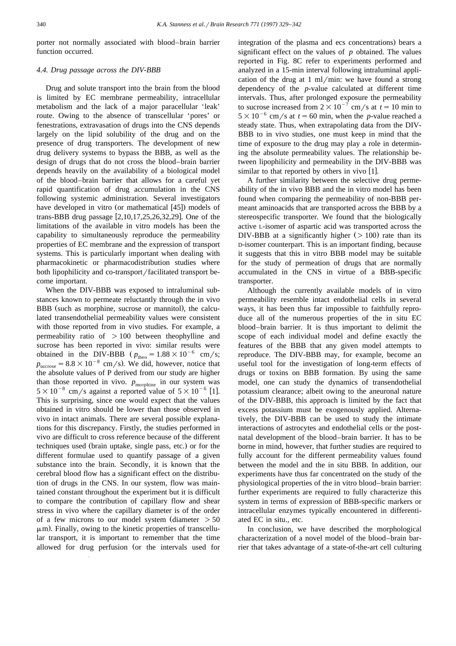porter not normally associated with blood–brain barrier function occurred.

## *4.4. Drug passage across the DIV-BBB*

Drug and solute transport into the brain from the blood is limited by EC membrane permeability, intracellular metabolism and the lack of a major paracellular 'leak' route. Owing to the absence of transcellular 'pores' or fenestrations, extravasation of drugs into the CNS depends largely on the lipid solubility of the drug and on the presence of drug transporters. The development of new drug delivery systems to bypass the BBB, as well as the design of drugs that do not cross the blood–brain barrier depends heavily on the availability of a biological model of the blood–brain barrier that allows for a careful yet rapid quantification of drug accumulation in the CNS following systemic administration. Several investigators have developed in vitro (or mathematical [45]) models of trans-BBB drug passage  $[2,10,17,25,26,32,29]$ . One of the limitations of the available in vitro models has been the capability to simultaneously reproduce the permeability properties of EC membrane and the expression of transport systems. This is particularly important when dealing with pharmacokinetic or pharmacodistribution studies where both lipophilicity and co-transport/facilitated transport become important.

When the DIV-BBB was exposed to intraluminal substances known to permeate reluctantly through the in vivo BBB (such as morphine, sucrose or mannitol), the calculated transendothelial permeability values were consistent with those reported from in vivo studies. For example, a permeability ratio of  $>100$  between theophylline and sucrose has been reported in vivo: similar results were obtained in the DIV-BBB  $(p_{\text{theo}} = 1.88 \times 10^{-6} \text{ cm/s};$   $p_{\text{success}} = 8.8 \times 10^{-8} \text{ cm/s}$ . We did, however, notice that the absolute values of P derived from our study are higher than those reported in vivo. *p*<sub>morphine</sub> in our system was  $5 \times 10^{-8}$  cm/s against a reported value of  $5 \times 10^{-6}$  [1]. This is surprising, since one would expect that the values obtained in vitro should be lower than those observed in vivo in intact animals. There are several possible explanations for this discrepancy. Firstly, the studies performed in vivo are difficult to cross reference because of the different techniques used (brain uptake, single pass, etc.) or for the different formulae used to quantify passage of a given substance into the brain. Secondly, it is known that the cerebral blood flow has a significant effect on the distribution of drugs in the CNS. In our system, flow was maintained constant throughout the experiment but it is difficult to compare the contribution of capillary flow and shear stress in vivo where the capillary diameter is of the order of a few microns to our model system (diameter  $> 50$  $\mu$ m). Finally, owing to the kinetic properties of transcellular transport, it is important to remember that the time allowed for drug perfusion (or the intervals used for

integration of the plasma and ecs concentrations) bears a significant effect on the values of  $p$  obtained. The values reported in Fig. 8C refer to experiments performed and analyzed in a 15-min interval following intraluminal application of the drug at  $1 \text{ ml/min}$ : we have found a strong dependency of the *p*-value calculated at different time intervals. Thus, after prolonged exposure the permeability to sucrose increased from  $2\times10^{-7}$  cm/s at  $t=10$  min to  $5 \times 10^{-6}$  cm/s at  $t = 60$  min, when the *p*-value reached a steady state. Thus, when extrapolating data from the DIV-BBB to in vivo studies, one must keep in mind that the time of exposure to the drug may play a role in determining the absolute permeability values. The relationship between lipophilicity and permeability in the DIV-BBB was similar to that reported by others in vivo  $[1]$ .

A further similarity between the selective drug permeability of the in vivo BBB and the in vitro model has been found when comparing the permeability of non-BBB permeant aminoacids that are transported across the BBB by a stereospecific transporter. We found that the biologically active L-isomer of aspartic acid was transported across the DIV-BBB at a significantly higher  $($  > 100) rate than its D-isomer counterpart. This is an important finding, because it suggests that this in vitro BBB model may be suitable for the study of permeation of drugs that are normally accumulated in the CNS in virtue of a BBB-specific transporter.

Although the currently available models of in vitro permeability resemble intact endothelial cells in several ways, it has been thus far impossible to faithfully reproduce all of the numerous properties of the in situ EC blood–brain barrier. It is thus important to delimit the scope of each individual model and define exactly the features of the BBB that any given model attempts to reproduce. The DIV-BBB may, for example, become an useful tool for the investigation of long-term effects of drugs or toxins on BBB formation. By using the same model, one can study the dynamics of transendothelial potassium clearance; albeit owing to the aneuronal nature of the DIV-BBB, this approach is limited by the fact that excess potassium must be exogenously applied. Alternatively, the DIV-BBB can be used to study the intimate interactions of astrocytes and endothelial cells or the postnatal development of the blood–brain barrier. It has to be borne in mind, however, that further studies are required to fully account for the different permeability values found between the model and the in situ BBB. In addition, our experiments have thus far concentrated on the study of the physiological properties of the in vitro blood–brain barrier: further experiments are required to fully characterize this system in terms of expression of BBB-specific markers or intracellular enzymes typically encountered in differentiated EC in situ., etc.

In conclusion, we have described the morphological characterization of a novel model of the blood–brain barrier that takes advantage of a state-of-the-art cell culturing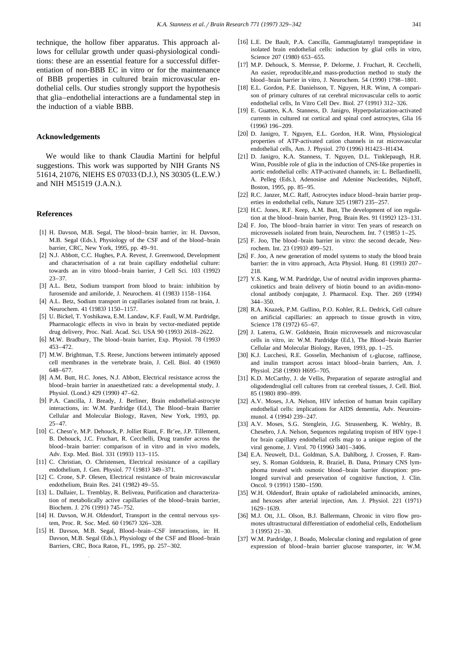technique, the hollow fiber apparatus. This approach allows for cellular growth under quasi-physiological conditions: these are an essential feature for a successful differentiation of non-BBB EC in vitro or for the maintenance of BBB properties in cultured brain microvascular endothelial cells. Our studies strongly support the hypothesis that glia–endothelial interactions are a fundamental step in the induction of a viable BBB.

# **Acknowledgements**

We would like to thank Claudia Martini for helpful suggestions. This work was supported by NIH Grants NS 51614, 21076, NIEHS ES 07033 (D.J.), NS 30305 (L.E.W.) and NIH M51519 (J.A.N.).

## **References**

- [1] H. Davson, M.B. Segal, The blood–brain barrier, in: H. Davson, M.B. Segal (Eds.), Physiology of the CSF and of the blood–brain barrier, CRC, New York, 1995, pp. 49–91.
- [2] N.J. Abbott, C.C. Hughes, P.A. Revest, J. Greenwood, Development and characterisation of a rat brain capillary endothelial culture: towards an in vitro blood–brain barrier, J Cell Sci. 103 (1992) 23–37.
- [3] A.L. Betz, Sodium transport from blood to brain: inhibition by furosemide and amiloride, J. Neurochem.  $41$  (1983) 1158–1164.
- [4] A.L. Betz, Sodium transport in capillaries isolated from rat brain, J. Neurochem. 41 (1983) 1150-1157.
- [5] U. Bickel, T. Yoshikawa, E.M. Landaw, K.F. Faull, W.M. Pardridge, Pharmacologic effects in vivo in brain by vector-mediated peptide drug delivery, Proc. Natl. Acad. Sci. USA 90 (1993) 2618-2622.
- [6] M.W. Bradbury, The blood–brain barrier, Exp. Physiol. 78 (1993) 453–472.
- [7] M.W. Brightman, T.S. Reese, Junctions between intimately apposed cell membranes in the vertebrate brain, J. Cell. Biol. 40 (1969) 648–677.
- [8] A.M. Butt, H.C. Jones, N.J. Abbott, Electrical resistance across the blood–brain barrier in anaesthetized rats: a developmental study, J. Physiol. (Lond.) 429 (1990) 47–62.
- [9] P.A. Cancilla, J. Bready, J. Berliner, Brain endothelial-astrocyte interactions, in: W.M. Pardridge (Ed.), The Blood–brain Barrier Cellular and Molecular Biology, Raven, New York, 1993, pp. 25–47.
- [10] C. Chesn'e, M.P. Dehouck, P. Jolliet Riant, F. Br'ee, J.P. Tillement, B. Dehouck, J.C. Fruchart, R. Cecchelli, Drug transfer across the blood–brain barrier: comparison of in vitro and in vivo models, Adv. Exp. Med. Biol. 331 (1993) 113-115.
- [11] C. Christian, O. Christensen, Electrical resistance of a capillary endothelium, J. Gen. Physiol. 77 (1981) 349-371.
- [12] C. Crone, S.P. Olesen, Electrical resistance of brain microvascular endothelium, Brain Res. 241 (1982) 49–55.
- [13] L. Dallaier, L. Tremblay, R. Beliveau, Purification and characterization of metabolically active capillaries of the blood–brain barrier, Biochem. J. 276 (1991) 745-752.
- [14] H. Davson, W.H. Oldendorf, Transport in the central nervous system, Proc. R. Soc. Med. 60 (1967) 326-328.
- [15] H. Davson, M.B. Segal, Blood–brain–CSF interactions, in: H. Davson, M.B. Segal (Eds.), Physiology of the CSF and Blood–brain Barriers, CRC, Boca Raton, FL, 1995, pp. 257–302.
- [16] L.E. De Bault, P.A. Cancilla, Gammaglutamyl transpeptidase in isolated brain endothelial cells: induction by glial cells in vitro, Science 207 (1980) 653-655.
- [17] M.P. Dehouck, S. Meresse, P. Delorme, J. Fruchart, R. Cecchelli, An easier, reproducible,and mass-production method to study the blood–brain barrier in vitro, J. Neurochem. 54 (1990) 1798–1801.
- [18] E.L. Gordon, P.E. Danielsson, T. Nguyen, H.R. Winn, A comparison of primary cultures of rat cerebral microvascular cells to aortic endothelial cells, In Vitro Cell Dev. Biol. 27 (1991) 312-326.
- [19] E. Guatteo, K.A. Stanness, D. Janigro, Hyperpolarization-activated currents in cultured rat cortical and spinal cord astrocytes, Glia 16  $(1996)$  196–209.
- [20] D. Janigro, T. Nguyen, E.L. Gordon, H.R. Winn, Physiological properties of ATP-activated cation channels in rat microvascular endothelial cells, Am. J. Physiol. 270 (1996) H1423-H1434.
- [21] D. Janigro, K.A. Stanness, T. Nguyen, D.L. Tinklepaugh, H.R. Winn, Possible role of glia in the induction of CNS-like properties in aortic endothelial cells: ATP-activated channels, in: L. Bellardinelli, A. Pelleg (Eds.), Adenosine and Adenine Nucleotides, Nijhoff, Boston, 1995, pp. 85–95.
- [22] R.C. Janzer, M.C. Raff, Astrocytes induce blood–brain barrier properties in endothelial cells, Nature 325 (1987) 235–257.
- [23] H.C. Jones, R.F. Keep, A.M. Butt, The development of ion regulation at the blood–brain barrier, Prog. Brain Res. 91 (1992)  $123-131$ .
- [24] F. Joo, The blood–brain barrier in vitro: Ten years of research on microvessels isolated from brain, Neurochem. Int.  $7$  (1985) 1-25.
- [25] F. Joo, The blood–brain barrier in vitro: the second decade, Neurochem. Int. 23 (1993) 499-521.
- [26] F. Joo, A new generation of model systems to study the blood brain barrier: the in vitro approach, Acta Physiol. Hung. 81 (1993) 207– 218.
- [27] Y.S. Kang, W.M. Pardridge, Use of neutral avidin improves pharmacokinetics and brain delivery of biotin bound to an avidin-monoclonal antibody conjugate, J. Pharmacol. Exp. Ther. 269 (1994) 344–350.
- [28] R.A. Knazek, P.M. Gullino, P.O. Kohler, R.L. Dedrick, Cell culture on artificial capillaries: an approach to tissue growth in vitro, Science 178 (1972) 65–67.
- [29] J. Laterra, G.W. Goldstein, Brain microvessels and microvascular cells in vitro, in: W.M. Pardridge (Ed.), The Blood–brain Barrier Cellular and Molecular Biology, Raven, 1993, pp. 1–25.
- [30] K.J. Lucchesi, R.E. Gosselin, Mechanism of L-glucose, raffinose, and inulin transport across intact blood–brain barriers, Am. J. Physiol. 258 (1990) H695-705.
- [31] K.D. McCarthy, J. de Vellis, Preparation of separate astroglial and oligodendroglial cell cultures from rat cerebral tissues, J. Cell. Biol. 85 (1980) 890-899.
- [32] A.V. Moses, J.A. Nelson, HIV infection of human brain capillary endothelial cells: implications for AIDS dementia, Adv. Neuroimmunol. 4 (1994) 239–247.
- [33] A.V. Moses, S.G. Stenglein, J.G. Strussenberg, K. Wehlry, B. Chesebro, J.A. Nelson, Sequences regulating tropism of HIV type-1 for brain capillary endothelial cells map to a unique region of the viral genome, J. Virol. 70 (1996) 3401-3406.
- [34] E.A. Neuwelt, D.L. Goldman, S.A. Dahlborg, J. Crossen, F. Ramsey, S. Roman Goldstein, R. Braziel, B. Dana, Primary CNS lymphoma treated with osmotic blood–brain barrier disruption: prolonged survival and preservation of cognitive function, J. Clin. Oncol. 9 (1991) 1580-1590.
- [35] W.H. Oldendorf, Brain uptake of radiolabeled aminoacids, amines, and hexoses after arterial injection, Am. J. Physiol. 221 (1971) 1629–1639.
- [36] M.J. Ott, J.L. Olson, B.J. Ballermann, Chronic in vitro flow promotes ultrastructural differentiation of endothelial cells, Endothelium  $3(1995)$   $21-30$ .
- [37] W.M. Pardridge, J. Boado, Molecular cloning and regulation of gene expression of blood–brain barrier glucose transporter, in: W.M.